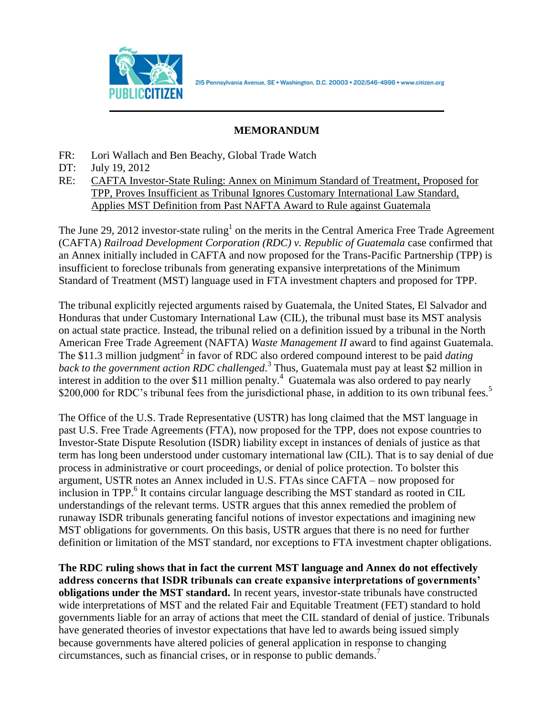

215 Pennsylvania Avenue, SE · Washington, D.C. 20003 · 202/546-4996 · www.citizen.org

## **MEMORANDUM**

- FR: Lori Wallach and Ben Beachy, Global Trade Watch
- DT: July 19, 2012
- RE: CAFTA Investor-State Ruling: Annex on Minimum Standard of Treatment, Proposed for TPP, Proves Insufficient as Tribunal Ignores Customary International Law Standard, Applies MST Definition from Past NAFTA Award to Rule against Guatemala

The June 29, 2012 investor-state ruling<sup>1</sup> on the merits in the Central America Free Trade Agreement (CAFTA) *Railroad Development Corporation (RDC) v. Republic of Guatemala* case confirmed that an Annex initially included in CAFTA and now proposed for the Trans-Pacific Partnership (TPP) is insufficient to foreclose tribunals from generating expansive interpretations of the Minimum Standard of Treatment (MST) language used in FTA investment chapters and proposed for TPP.

The tribunal explicitly rejected arguments raised by Guatemala, the United States, El Salvador and Honduras that under Customary International Law (CIL), the tribunal must base its MST analysis on actual state practice. Instead, the tribunal relied on a definition issued by a tribunal in the North American Free Trade Agreement (NAFTA) *Waste Management II* award to find against Guatemala. The \$11.3 million judgment<sup>2</sup> in favor of RDC also ordered compound interest to be paid *dating back to the government action RDC challenged*. 3 Thus, Guatemala must pay at least \$2 million in interest in addition to the over \$11 million penalty. 4 Guatemala was also ordered to pay nearly \$200,000 for RDC's tribunal fees from the jurisdictional phase, in addition to its own tribunal fees.<sup>5</sup>

The Office of the U.S. Trade Representative (USTR) has long claimed that the MST language in past U.S. Free Trade Agreements (FTA), now proposed for the TPP, does not expose countries to Investor-State Dispute Resolution (ISDR) liability except in instances of denials of justice as that term has long been understood under customary international law (CIL). That is to say denial of due process in administrative or court proceedings, or denial of police protection. To bolster this argument, USTR notes an Annex included in U.S. FTAs since CAFTA – now proposed for inclusion in TPP.<sup>6</sup> It contains circular language describing the MST standard as rooted in CIL understandings of the relevant terms. USTR argues that this annex remedied the problem of runaway ISDR tribunals generating fanciful notions of investor expectations and imagining new MST obligations for governments. On this basis, USTR argues that there is no need for further definition or limitation of the MST standard, nor exceptions to FTA investment chapter obligations.

**The RDC ruling shows that in fact the current MST language and Annex do not effectively address concerns that ISDR tribunals can create expansive interpretations of governments' obligations under the MST standard.** In recent years, investor-state tribunals have constructed wide interpretations of MST and the related Fair and Equitable Treatment (FET) standard to hold governments liable for an array of actions that meet the CIL standard of denial of justice. Tribunals have generated theories of investor expectations that have led to awards being issued simply because governments have altered policies of general application in response to changing circumstances, such as financial crises, or in response to public demands.<sup>7</sup>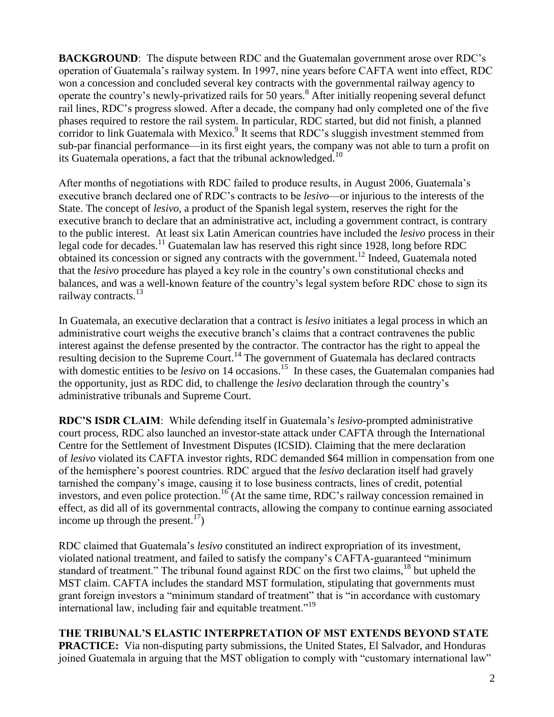**BACKGROUND**: The dispute between RDC and the Guatemalan government arose over RDC's operation of Guatemala's railway system. In 1997, nine years before CAFTA went into effect, RDC won a concession and concluded several key contracts with the governmental railway agency to operate the country's newly-privatized rails for 50 years.<sup>8</sup> After initially reopening several defunct rail lines, RDC's progress slowed. After a decade, the company had only completed one of the five phases required to restore the rail system. In particular, RDC started, but did not finish, a planned corridor to link Guatemala with Mexico.<sup>9</sup> It seems that RDC's sluggish investment stemmed from sub-par financial performance—in its first eight years, the company was not able to turn a profit on its Guatemala operations, a fact that the tribunal acknowledged.<sup>10</sup>

After months of negotiations with RDC failed to produce results, in August 2006, Guatemala's executive branch declared one of RDC's contracts to be *lesivo*—or injurious to the interests of the State. The concept of *lesivo*, a product of the Spanish legal system, reserves the right for the executive branch to declare that an administrative act, including a government contract, is contrary to the public interest. At least six Latin American countries have included the *lesivo* process in their legal code for decades.<sup>11</sup> Guatemalan law has reserved this right since 1928, long before RDC obtained its concession or signed any contracts with the government.<sup>12</sup> Indeed, Guatemala noted that the *lesivo* procedure has played a key role in the country's own constitutional checks and balances, and was a well-known feature of the country's legal system before RDC chose to sign its railway contracts.<sup>13</sup>

In Guatemala, an executive declaration that a contract is *lesivo* initiates a legal process in which an administrative court weighs the executive branch's claims that a contract contravenes the public interest against the defense presented by the contractor. The contractor has the right to appeal the resulting decision to the Supreme Court.<sup>14</sup> The government of Guatemala has declared contracts with domestic entities to be *lesivo* on 14 occasions.<sup>15</sup> In these cases, the Guatemalan companies had the opportunity, just as RDC did, to challenge the *lesivo* declaration through the country's administrative tribunals and Supreme Court.

**RDC'S ISDR CLAIM**: While defending itself in Guatemala's *lesivo*-prompted administrative court process, RDC also launched an investor-state attack under CAFTA through the International Centre for the Settlement of Investment Disputes (ICSID). Claiming that the mere declaration of *lesivo* violated its CAFTA investor rights, RDC demanded \$64 million in compensation from one of the hemisphere's poorest countries. RDC argued that the *lesivo* declaration itself had gravely tarnished the company's image, causing it to lose business contracts, lines of credit, potential investors, and even police protection.<sup>16</sup> (At the same time, RDC's railway concession remained in effect, as did all of its governmental contracts, allowing the company to continue earning associated income up through the present.<sup>17</sup>)

RDC claimed that Guatemala's *lesivo* constituted an indirect expropriation of its investment, violated national treatment, and failed to satisfy the company's CAFTA-guaranteed "minimum standard of treatment." The tribunal found against RDC on the first two claims,<sup>18</sup> but upheld the MST claim. CAFTA includes the standard MST formulation, stipulating that governments must grant foreign investors a "minimum standard of treatment" that is "in accordance with customary international law, including fair and equitable treatment.<sup>"19</sup>

**THE TRIBUNAL'S ELASTIC INTERPRETATION OF MST EXTENDS BEYOND STATE PRACTICE:** Via non-disputing party submissions, the United States, El Salvador, and Honduras joined Guatemala in arguing that the MST obligation to comply with "customary international law"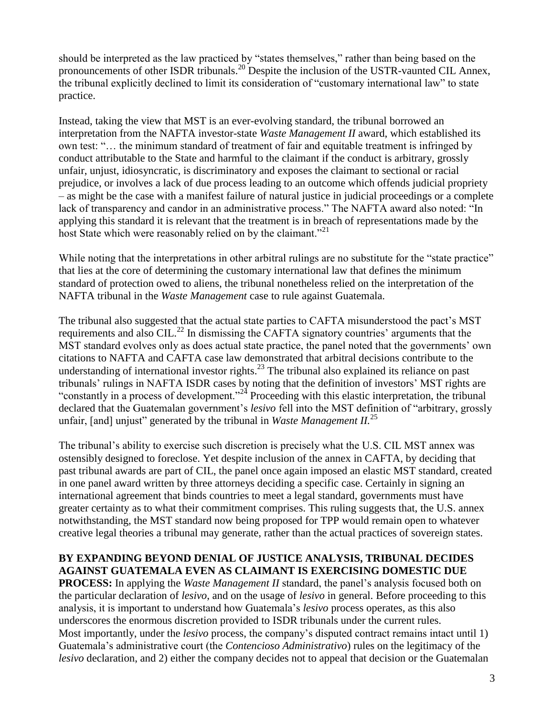should be interpreted as the law practiced by "states themselves," rather than being based on the pronouncements of other ISDR tribunals.<sup>20</sup> Despite the inclusion of the USTR-vaunted CIL Annex, the tribunal explicitly declined to limit its consideration of "customary international law" to state practice.

Instead, taking the view that MST is an ever-evolving standard, the tribunal borrowed an interpretation from the NAFTA investor-state *Waste Management II* award, which established its own test: "… the minimum standard of treatment of fair and equitable treatment is infringed by conduct attributable to the State and harmful to the claimant if the conduct is arbitrary, grossly unfair, unjust, idiosyncratic, is discriminatory and exposes the claimant to sectional or racial prejudice, or involves a lack of due process leading to an outcome which offends judicial propriety – as might be the case with a manifest failure of natural justice in judicial proceedings or a complete lack of transparency and candor in an administrative process." The NAFTA award also noted: "In applying this standard it is relevant that the treatment is in breach of representations made by the host State which were reasonably relied on by the claimant.<sup>"21</sup>

While noting that the interpretations in other arbitral rulings are no substitute for the "state practice" that lies at the core of determining the customary international law that defines the minimum standard of protection owed to aliens, the tribunal nonetheless relied on the interpretation of the NAFTA tribunal in the *Waste Management* case to rule against Guatemala.

The tribunal also suggested that the actual state parties to CAFTA misunderstood the pact's MST requirements and also CIL.<sup>22</sup> In dismissing the CAFTA signatory countries' arguments that the MST standard evolves only as does actual state practice, the panel noted that the governments' own citations to NAFTA and CAFTA case law demonstrated that arbitral decisions contribute to the understanding of international investor rights. $^{23}$  The tribunal also explained its reliance on past tribunals' rulings in NAFTA ISDR cases by noting that the definition of investors' MST rights are "constantly in a process of development."<sup>24</sup> Proceeding with this elastic interpretation, the tribunal declared that the Guatemalan government's *lesivo* fell into the MST definition of "arbitrary, grossly unfair, [and] unjust" generated by the tribunal in *Waste Management II.*<sup>25</sup>

The tribunal's ability to exercise such discretion is precisely what the U.S. CIL MST annex was ostensibly designed to foreclose. Yet despite inclusion of the annex in CAFTA, by deciding that past tribunal awards are part of CIL, the panel once again imposed an elastic MST standard, created in one panel award written by three attorneys deciding a specific case. Certainly in signing an international agreement that binds countries to meet a legal standard, governments must have greater certainty as to what their commitment comprises. This ruling suggests that, the U.S. annex notwithstanding, the MST standard now being proposed for TPP would remain open to whatever creative legal theories a tribunal may generate, rather than the actual practices of sovereign states.

## **BY EXPANDING BEYOND DENIAL OF JUSTICE ANALYSIS, TRIBUNAL DECIDES AGAINST GUATEMALA EVEN AS CLAIMANT IS EXERCISING DOMESTIC DUE**

**PROCESS:** In applying the *Waste Management II* standard, the panel's analysis focused both on the particular declaration of *lesivo*, and on the usage of *lesivo* in general. Before proceeding to this analysis, it is important to understand how Guatemala's *lesivo* process operates, as this also underscores the enormous discretion provided to ISDR tribunals under the current rules. Most importantly, under the *lesivo* process, the company's disputed contract remains intact until 1) Guatemala's administrative court (the *Contencioso Administrativo*) rules on the legitimacy of the *lesivo* declaration, and 2) either the company decides not to appeal that decision or the Guatemalan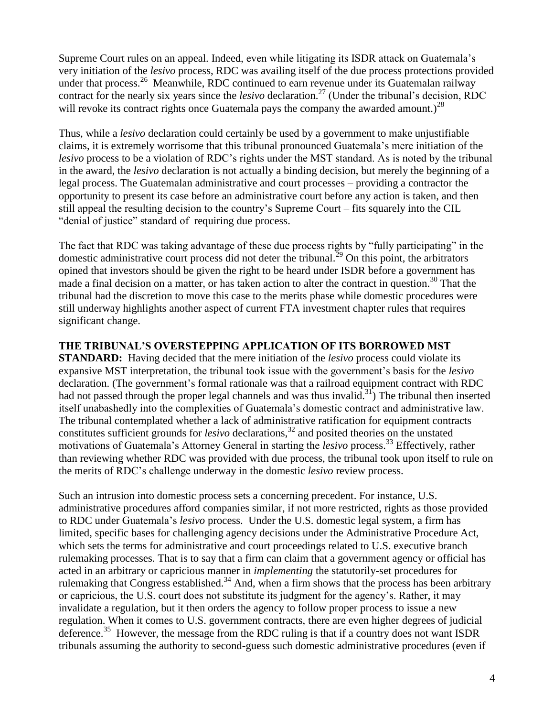Supreme Court rules on an appeal. Indeed, even while litigating its ISDR attack on Guatemala's very initiation of the *lesivo* process, RDC was availing itself of the due process protections provided under that process.<sup>26</sup> Meanwhile, RDC continued to earn revenue under its Guatemalan railway contract for the nearly six years since the *lesivo* declaration.<sup>27</sup> (Under the tribunal's decision, RDC will revoke its contract rights once Guatemala pays the company the awarded amount.)<sup>28</sup>

Thus, while a *lesivo* declaration could certainly be used by a government to make unjustifiable claims, it is extremely worrisome that this tribunal pronounced Guatemala's mere initiation of the *lesivo* process to be a violation of RDC's rights under the MST standard. As is noted by the tribunal in the award, the *lesivo* declaration is not actually a binding decision, but merely the beginning of a legal process. The Guatemalan administrative and court processes – providing a contractor the opportunity to present its case before an administrative court before any action is taken, and then still appeal the resulting decision to the country's Supreme Court – fits squarely into the CIL "denial of justice" standard of requiring due process.

The fact that RDC was taking advantage of these due process rights by "fully participating" in the domestic administrative court process did not deter the tribunal.<sup>29</sup> On this point, the arbitrators opined that investors should be given the right to be heard under ISDR before a government has made a final decision on a matter, or has taken action to alter the contract in question.<sup>30</sup> That the tribunal had the discretion to move this case to the merits phase while domestic procedures were still underway highlights another aspect of current FTA investment chapter rules that requires significant change.

## **THE TRIBUNAL'S OVERSTEPPING APPLICATION OF ITS BORROWED MST**

**STANDARD:** Having decided that the mere initiation of the *lesivo* process could violate its expansive MST interpretation, the tribunal took issue with the government's basis for the *lesivo* declaration. (The government's formal rationale was that a railroad equipment contract with RDC had not passed through the proper legal channels and was thus invalid.<sup>31</sup>) The tribunal then inserted itself unabashedly into the complexities of Guatemala's domestic contract and administrative law. The tribunal contemplated whether a lack of administrative ratification for equipment contracts constitutes sufficient grounds for *lesivo* declarations,<sup>32</sup> and posited theories on the unstated motivations of Guatemala's Attorney General in starting the *lesivo* process.<sup>33</sup> Effectively, rather than reviewing whether RDC was provided with due process, the tribunal took upon itself to rule on the merits of RDC's challenge underway in the domestic *lesivo* review process.

Such an intrusion into domestic process sets a concerning precedent. For instance, U.S. administrative procedures afford companies similar, if not more restricted, rights as those provided to RDC under Guatemala's *lesivo* process. Under the U.S. domestic legal system, a firm has limited, specific bases for challenging agency decisions under the Administrative Procedure Act, which sets the terms for administrative and court proceedings related to U.S. executive branch rulemaking processes. That is to say that a firm can claim that a government agency or official has acted in an arbitrary or capricious manner in *implementing* the statutorily-set procedures for rulemaking that Congress established.<sup>34</sup> And, when a firm shows that the process has been arbitrary or capricious, the U.S. court does not substitute its judgment for the agency's. Rather, it may invalidate a regulation, but it then orders the agency to follow proper process to issue a new regulation. When it comes to U.S. government contracts, there are even higher degrees of judicial deference.<sup>35</sup> However, the message from the RDC ruling is that if a country does not want ISDR tribunals assuming the authority to second-guess such domestic administrative procedures (even if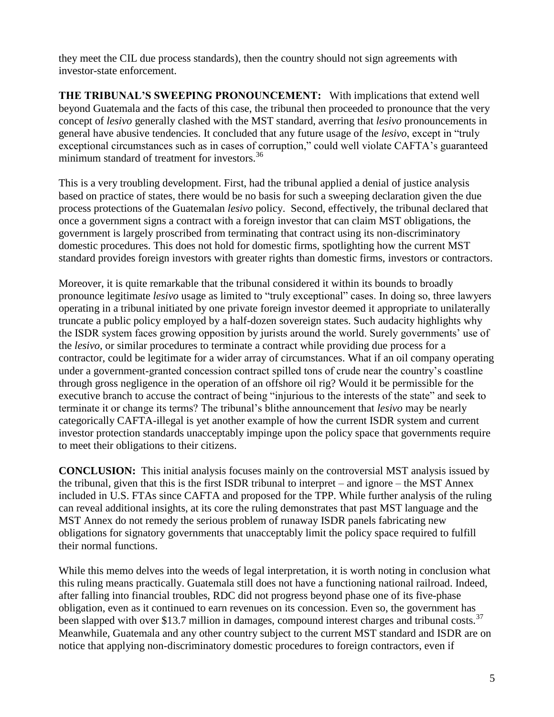they meet the CIL due process standards), then the country should not sign agreements with investor-state enforcement.

**THE TRIBUNAL'S SWEEPING PRONOUNCEMENT:** With implications that extend well beyond Guatemala and the facts of this case, the tribunal then proceeded to pronounce that the very concept of *lesivo* generally clashed with the MST standard, averring that *lesivo* pronouncements in general have abusive tendencies. It concluded that any future usage of the *lesivo*, except in "truly exceptional circumstances such as in cases of corruption," could well violate CAFTA's guaranteed minimum standard of treatment for investors.<sup>36</sup>

This is a very troubling development. First, had the tribunal applied a denial of justice analysis based on practice of states, there would be no basis for such a sweeping declaration given the due process protections of the Guatemalan *lesivo* policy. Second, effectively, the tribunal declared that once a government signs a contract with a foreign investor that can claim MST obligations, the government is largely proscribed from terminating that contract using its non-discriminatory domestic procedures. This does not hold for domestic firms, spotlighting how the current MST standard provides foreign investors with greater rights than domestic firms, investors or contractors.

Moreover, it is quite remarkable that the tribunal considered it within its bounds to broadly pronounce legitimate *lesivo* usage as limited to "truly exceptional" cases. In doing so, three lawyers operating in a tribunal initiated by one private foreign investor deemed it appropriate to unilaterally truncate a public policy employed by a half-dozen sovereign states. Such audacity highlights why the ISDR system faces growing opposition by jurists around the world. Surely governments' use of the *lesivo,* or similar procedures to terminate a contract while providing due process for a contractor, could be legitimate for a wider array of circumstances. What if an oil company operating under a government-granted concession contract spilled tons of crude near the country's coastline through gross negligence in the operation of an offshore oil rig? Would it be permissible for the executive branch to accuse the contract of being "injurious to the interests of the state" and seek to terminate it or change its terms? The tribunal's blithe announcement that *lesivo* may be nearly categorically CAFTA-illegal is yet another example of how the current ISDR system and current investor protection standards unacceptably impinge upon the policy space that governments require to meet their obligations to their citizens.

**CONCLUSION:** This initial analysis focuses mainly on the controversial MST analysis issued by the tribunal, given that this is the first ISDR tribunal to interpret – and ignore – the MST Annex included in U.S. FTAs since CAFTA and proposed for the TPP. While further analysis of the ruling can reveal additional insights, at its core the ruling demonstrates that past MST language and the MST Annex do not remedy the serious problem of runaway ISDR panels fabricating new obligations for signatory governments that unacceptably limit the policy space required to fulfill their normal functions.

While this memo delves into the weeds of legal interpretation, it is worth noting in conclusion what this ruling means practically. Guatemala still does not have a functioning national railroad. Indeed, after falling into financial troubles, RDC did not progress beyond phase one of its five-phase obligation, even as it continued to earn revenues on its concession. Even so, the government has been slapped with over \$13.7 million in damages, compound interest charges and tribunal costs.<sup>37</sup> Meanwhile, Guatemala and any other country subject to the current MST standard and ISDR are on notice that applying non-discriminatory domestic procedures to foreign contractors, even if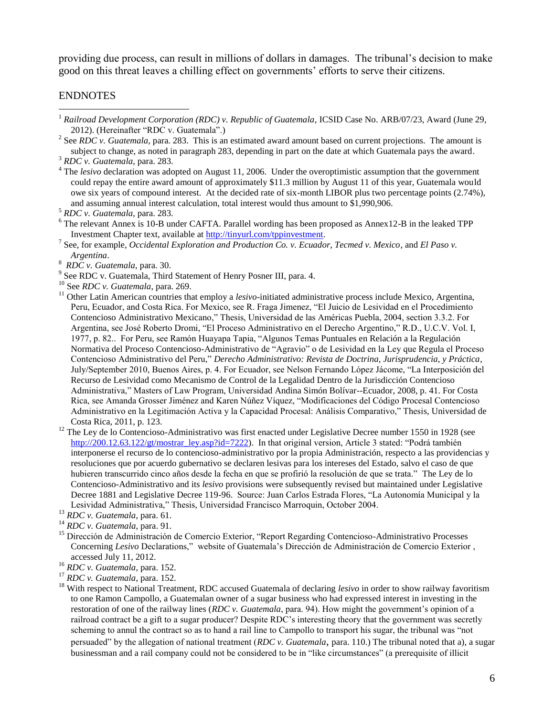providing due process, can result in millions of dollars in damages. The tribunal's decision to make good on this threat leaves a chilling effect on governments' efforts to serve their citizens.

## ENDNOTES

 $\overline{a}$ 

<sup>14</sup> *RDC v. Guatemala*, para. 91.

<sup>&</sup>lt;sup>1</sup> Railroad Development Corporation (RDC) v. Republic of Guatemala, ICSID Case No. ARB/07/23, Award (June 29, 2012). (Hereinafter "RDC v. Guatemala".)

<sup>&</sup>lt;sup>2</sup> See *RDC v. Guatemala*, para. 283. This is an estimated award amount based on current projections. The amount is subject to change, as noted in paragraph 283, depending in part on the date at which Guatemala pays the award. <sup>3</sup> *RDC v. Guatemala*, para. 283.

<sup>&</sup>lt;sup>4</sup> The *lesivo* declaration was adopted on August 11, 2006. Under the overoptimistic assumption that the government could repay the entire award amount of approximately \$11.3 million by August 11 of this year, Guatemala would owe six years of compound interest. At the decided rate of six-month LIBOR plus two percentage points (2.74%), and assuming annual interest calculation, total interest would thus amount to \$1,990,906.

<sup>5</sup> *RDC v. Guatemala*, para. 283.

<sup>&</sup>lt;sup>6</sup> The relevant Annex is 10-B under CAFTA. Parallel wording has been proposed as Annex12-B in the leaked TPP Investment Chapter text, available a[t http://tinyurl.com/tppinvestment.](http://www.citizenstrade.org/ctc/wp-content/uploads/2012/06/tppinvestment.pdf)

<sup>7</sup> See, for example, *Occidental Exploration and Production Co. v. Ecuador, Tecmed v. Mexico*, and *El Paso v. Argentina*.

<sup>8</sup> *RDC v. Guatemala*, para. 30.

<sup>&</sup>lt;sup>9</sup> See RDC v. Guatemala, Third Statement of Henry Posner III, para. 4.

<sup>&</sup>lt;sup>10</sup> See *RDC v. Guatemala*, para. 269.<br><sup>11</sup> Other Latin American countries that

<sup>11</sup> Other Latin American countries that employ a *lesivo*-initiated administrative process include Mexico, Argentina, Peru, Ecuador, and Costa Rica. For Mexico, see R. Fraga Jimenez, "El Juicio de Lesividad en el Procedimiento Contencioso Administrativo Mexicano," Thesis, Universidad de las Américas Puebla, 2004, section 3.3.2. For Argentina, see José Roberto Dromi, "El Proceso Administrativo en el Derecho Argentino," R.D., U.C.V. Vol. I, 1977, p. 82.. For Peru, see Ramón Huayapa Tapia, "Algunos Temas Puntuales en Relación a la Regulación Normativa del Proceso Contencioso-Administrativo de "Agravio" o de Lesividad en la Ley que Regula el Proceso Contencioso Administrativo del Peru," *Derecho Administrativo: Revista de Doctrina, Jurisprudencia, y Práctica*, July/September 2010, Buenos Aires, p. 4. For Ecuador, see Nelson Fernando López Jácome, "La Interposición del Recurso de Lesividad como Mecanismo de Control de la Legalidad Dentro de la Jurisdicción Contencioso Administrativa," Masters of Law Program, Universidad Andina Simón Bolívar--Ecuador, 2008, p. 41. For Costa Rica, see Amanda Grosser Jiménez and Karen Núñez Víquez, "Modificaciones del Código Procesal Contencioso Administrativo en la Legitimación Activa y la Capacidad Procesal: Análisis Comparativo," Thesis, Universidad de Costa Rica, 2011, p. 123.

<sup>&</sup>lt;sup>12</sup> The Ley de lo Contencioso-Administrativo was first enacted under Legislative Decree number 1550 in 1928 (see [http://200.12.63.122/gt/mostrar\\_ley.asp?id=7222\)](http://200.12.63.122/gt/mostrar_ley.asp?id=7222). In that original version, Article 3 stated: "Podrá también interponerse el recurso de lo contencioso-administrativo por la propia Administración, respecto a las providencias y resoluciones que por acuerdo gubernativo se declaren lesivas para los intereses del Estado, salvo el caso de que hubieren transcurrido cinco años desde la fecha en que se profirió la resolución de que se trata." The Ley de lo Contencioso-Administrativo and its *lesivo* provisions were subsequently revised but maintained under Legislative Decree 1881 and Legislative Decree 119-96. Source: Juan Carlos Estrada Flores, "La Autonomía Municipal y la Lesividad Administrativa," Thesis, Universidad Francisco Marroquin, October 2004.

<sup>13</sup> *RDC v. Guatemala*, para. 61.

<sup>&</sup>lt;sup>15</sup> Dirección de Administración de Comercio Exterior, "Report Regarding Contencioso-Administrativo Processes Concerning *Lesivo* Declarations," website of Guatemala's Dirección de Administración de Comercio Exterior , accessed July 11, 2012.

<sup>16</sup> *RDC v. Guatemala*, para. 152.

<sup>17</sup> *RDC v. Guatemala*, para. 152.

<sup>&</sup>lt;sup>18</sup> With respect to National Treatment, RDC accused Guatemala of declaring *lesivo* in order to show railway favoritism to one Ramon Campollo, a Guatemalan owner of a sugar business who had expressed interest in investing in the restoration of one of the railway lines (*RDC v. Guatemala*, para. 94). How might the government's opinion of a railroad contract be a gift to a sugar producer? Despite RDC's interesting theory that the government was secretly scheming to annul the contract so as to hand a rail line to Campollo to transport his sugar, the tribunal was "not persuaded" by the allegation of national treatment (*RDC v. Guatemala*, para. 110.) The tribunal noted that a), a sugar businessman and a rail company could not be considered to be in "like circumstances" (a prerequisite of illicit